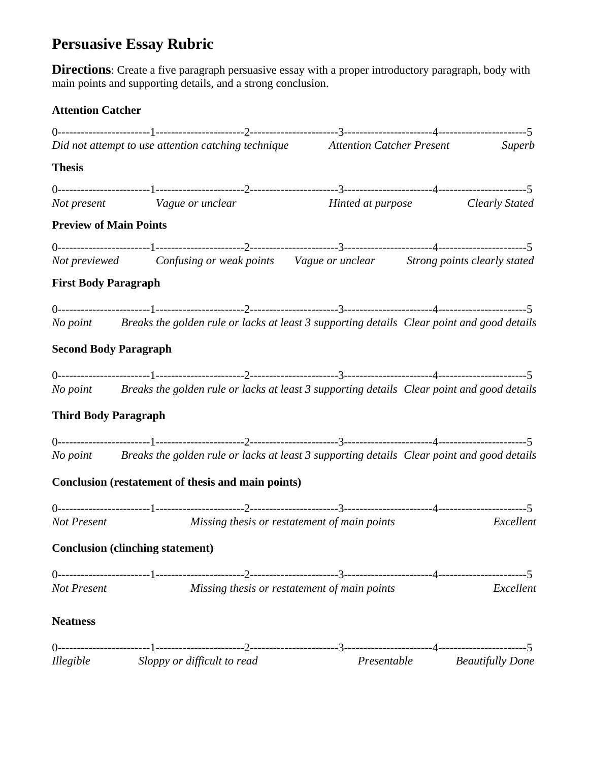# **Persuasive Essay Rubric**

**Directions**: Create a five paragraph persuasive essay with a proper introductory paragraph, body with main points and supporting details, and a strong conclusion.

# **Attention Catcher**

| Did not attempt to use attention catching technique Attention Catcher Present Superb |                                                               |                                                    |                                                                                                     |  |                         |
|--------------------------------------------------------------------------------------|---------------------------------------------------------------|----------------------------------------------------|-----------------------------------------------------------------------------------------------------|--|-------------------------|
| <b>Thesis</b>                                                                        |                                                               |                                                    |                                                                                                     |  |                         |
|                                                                                      |                                                               |                                                    |                                                                                                     |  |                         |
|                                                                                      | Not present Vague or unclear Hinted at purpose Clearly Stated |                                                    |                                                                                                     |  |                         |
| <b>Preview of Main Points</b>                                                        |                                                               |                                                    |                                                                                                     |  |                         |
|                                                                                      |                                                               |                                                    |                                                                                                     |  |                         |
|                                                                                      |                                                               |                                                    | Not previewed Confusing or weak points Vague or unclear Strong points clearly stated                |  |                         |
| <b>First Body Paragraph</b>                                                          |                                                               |                                                    |                                                                                                     |  |                         |
|                                                                                      |                                                               |                                                    |                                                                                                     |  |                         |
|                                                                                      |                                                               |                                                    | No point Breaks the golden rule or lacks at least 3 supporting details Clear point and good details |  |                         |
| <b>Second Body Paragraph</b>                                                         |                                                               |                                                    |                                                                                                     |  |                         |
|                                                                                      |                                                               |                                                    |                                                                                                     |  |                         |
|                                                                                      |                                                               |                                                    | No point Breaks the golden rule or lacks at least 3 supporting details Clear point and good details |  |                         |
| <b>Third Body Paragraph</b>                                                          |                                                               |                                                    |                                                                                                     |  |                         |
|                                                                                      |                                                               |                                                    |                                                                                                     |  |                         |
|                                                                                      |                                                               |                                                    | No point Breaks the golden rule or lacks at least 3 supporting details Clear point and good details |  |                         |
|                                                                                      |                                                               | Conclusion (restatement of thesis and main points) |                                                                                                     |  |                         |
|                                                                                      |                                                               |                                                    |                                                                                                     |  |                         |
|                                                                                      |                                                               |                                                    | Not Present Missing thesis or restatement of main points                                            |  | Excellent               |
|                                                                                      | <b>Conclusion (clinching statement)</b>                       |                                                    |                                                                                                     |  |                         |
|                                                                                      |                                                               |                                                    |                                                                                                     |  |                         |
| Not Present                                                                          |                                                               |                                                    | Missing thesis or restatement of main points                                                        |  | Excellent               |
| <b>Neatness</b>                                                                      |                                                               |                                                    |                                                                                                     |  |                         |
|                                                                                      |                                                               |                                                    |                                                                                                     |  |                         |
| <i>Illegible</i>                                                                     |                                                               | Sloppy or difficult to read                        | Presentable                                                                                         |  | <b>Beautifully Done</b> |